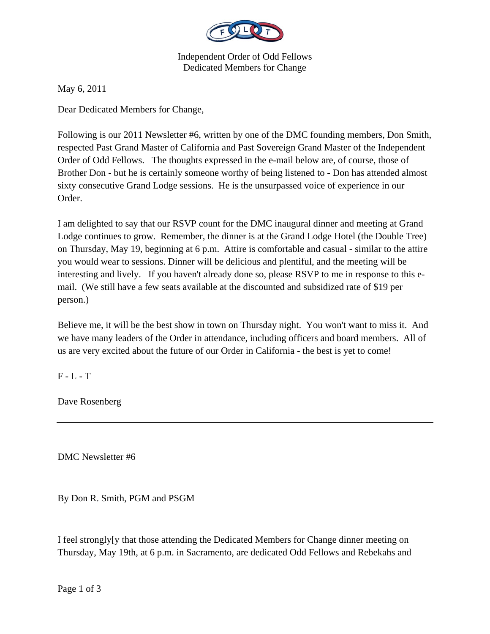

Independent Order of Odd Fellows Dedicated Members for Change

May 6, 2011

Dear Dedicated Members for Change,

Following is our 2011 Newsletter #6, written by one of the DMC founding members, Don Smith, respected Past Grand Master of California and Past Sovereign Grand Master of the Independent Order of Odd Fellows. The thoughts expressed in the e-mail below are, of course, those of Brother Don - but he is certainly someone worthy of being listened to - Don has attended almost sixty consecutive Grand Lodge sessions. He is the unsurpassed voice of experience in our Order.

I am delighted to say that our RSVP count for the DMC inaugural dinner and meeting at Grand Lodge continues to grow. Remember, the dinner is at the Grand Lodge Hotel (the Double Tree) on Thursday, May 19, beginning at 6 p.m. Attire is comfortable and casual - similar to the attire you would wear to sessions. Dinner will be delicious and plentiful, and the meeting will be interesting and lively. If you haven't already done so, please RSVP to me in response to this email. (We still have a few seats available at the discounted and subsidized rate of \$19 per person.)

Believe me, it will be the best show in town on Thursday night. You won't want to miss it. And we have many leaders of the Order in attendance, including officers and board members. All of us are very excited about the future of our Order in California - the best is yet to come!

F - L - T

Dave Rosenberg

DMC Newsletter #6

By Don R. Smith, PGM and PSGM

I feel strongly[y that those attending the Dedicated Members for Change dinner meeting on Thursday, May 19th, at 6 p.m. in Sacramento, are dedicated Odd Fellows and Rebekahs and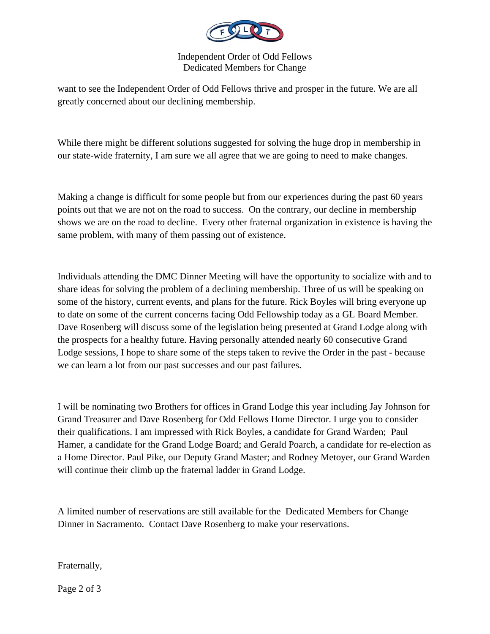

Independent Order of Odd Fellows Dedicated Members for Change

want to see the Independent Order of Odd Fellows thrive and prosper in the future. We are all greatly concerned about our declining membership.

While there might be different solutions suggested for solving the huge drop in membership in our state-wide fraternity, I am sure we all agree that we are going to need to make changes.

Making a change is difficult for some people but from our experiences during the past 60 years points out that we are not on the road to success. On the contrary, our decline in membership shows we are on the road to decline. Every other fraternal organization in existence is having the same problem, with many of them passing out of existence.

Individuals attending the DMC Dinner Meeting will have the opportunity to socialize with and to share ideas for solving the problem of a declining membership. Three of us will be speaking on some of the history, current events, and plans for the future. Rick Boyles will bring everyone up to date on some of the current concerns facing Odd Fellowship today as a GL Board Member. Dave Rosenberg will discuss some of the legislation being presented at Grand Lodge along with the prospects for a healthy future. Having personally attended nearly 60 consecutive Grand Lodge sessions, I hope to share some of the steps taken to revive the Order in the past - because we can learn a lot from our past successes and our past failures.

I will be nominating two Brothers for offices in Grand Lodge this year including Jay Johnson for Grand Treasurer and Dave Rosenberg for Odd Fellows Home Director. I urge you to consider their qualifications. I am impressed with Rick Boyles, a candidate for Grand Warden; Paul Hamer, a candidate for the Grand Lodge Board; and Gerald Poarch, a candidate for re-election as a Home Director. Paul Pike, our Deputy Grand Master; and Rodney Metoyer, our Grand Warden will continue their climb up the fraternal ladder in Grand Lodge.

A limited number of reservations are still available for the Dedicated Members for Change Dinner in Sacramento. Contact Dave Rosenberg to make your reservations.

Fraternally,

Page 2 of 3